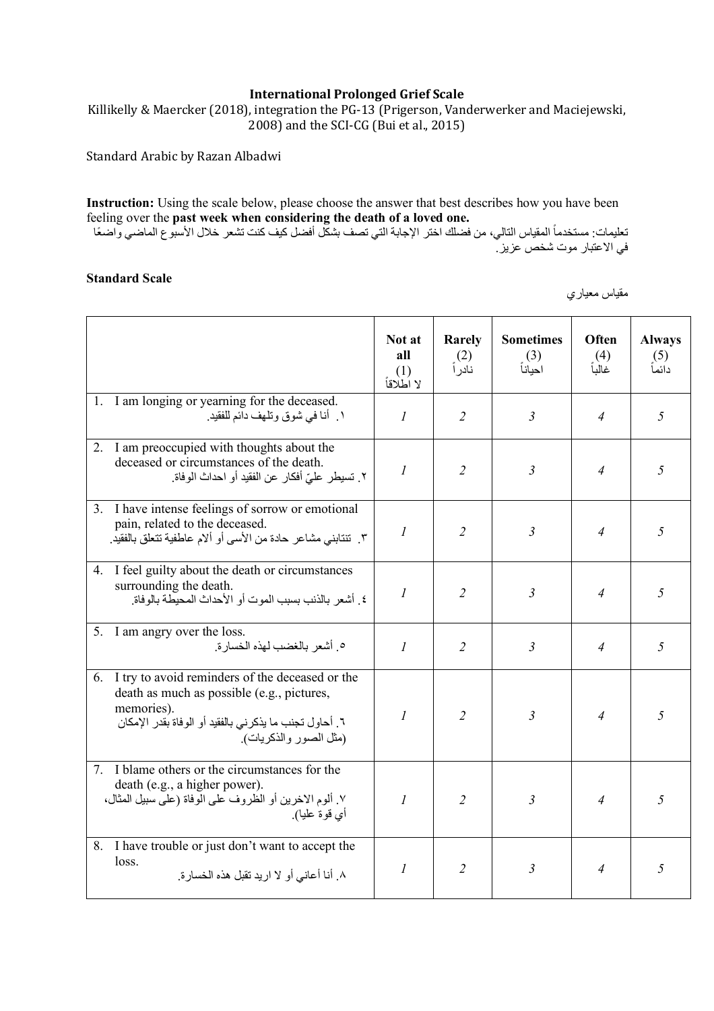## **International Prolonged Grief Scale**

Killikelly & Maercker (2018), integration the PG-13 (Prigerson, Vanderwerker and Maciejewski, 2008) and the SCI-CG (Bui et al., 2015)

Standard Arabic by Razan Albadwi

**Instruction:** Using the scale below, please choose the answer that best describes how you have been feeling over the **past week when considering the death of a loved one.**

تعليمات: مستخدماً المقياس التالي، من فضلك اختر الإجابة التي تصف بشكل أفضل كيف كنت تشعر خلال الأسبوع الماضـي واضـعًا في الاعتبار موت شخص عزيز .

## **Standard Scale**

مقياس معياري

|                                                                                                                                                                                                       | Not at<br>all<br>(1)<br>لا اَطْلاقاً | Rarely<br>(2)<br>نادر أ | <b>Sometimes</b><br>(3)<br>احياناً | Often<br>(4)<br>غالبأ | <b>Always</b><br>(5)<br>دائماً |
|-------------------------------------------------------------------------------------------------------------------------------------------------------------------------------------------------------|--------------------------------------|-------------------------|------------------------------------|-----------------------|--------------------------------|
| 1. I am longing or yearning for the deceased.<br>١ أنا في شوق وتلهف دائم للفقيد.                                                                                                                      | $\mathcal{I}_{\mathcal{I}}$          | $\overline{2}$          | $\mathfrak{Z}$                     | 4                     | 5                              |
| I am preoccupied with thoughts about the<br>$2_{\cdot}$<br>deceased or circumstances of the death.<br>٢. تسيطر عليّ أفكار عن الفقيد أو احداث الوفاة.                                                  | $\boldsymbol{l}$                     | $\overline{2}$          | $\mathfrak{Z}$                     | 4                     | 5                              |
| 3. I have intense feelings of sorrow or emotional<br>pain, related to the deceased.<br>٣. تنتابني مشاعر حادة من الأسى أو ألام عاطفية تتعلق بالفقيد.                                                   | $\mathcal{I}_{\mathcal{I}}$          | $\overline{2}$          | $\mathfrak{Z}$                     | 4                     | 5                              |
| 4. I feel guilty about the death or circumstances<br>surrounding the death.<br>٤ أشعر بالذنب بسبب الموت أو الأحداث المحيطة بالوفاة.                                                                   | $\boldsymbol{l}$                     | $\overline{2}$          | 3                                  | 4                     | 5                              |
| I am angry over the loss.<br>5.<br>0 أشعر بالغضب لهذه الخسارة                                                                                                                                         | $\mathcal{I}$                        | $\overline{2}$          | $\mathfrak{Z}$                     | 4                     | 5                              |
| I try to avoid reminders of the deceased or the<br>6.<br>death as much as possible (e.g., pictures,<br>memories).<br>٦. أحاول تجنب ما يذكر ني بالفقيد أو الوفاة بقدر الإمكان<br>(مثل الصور والذكريات) | $\mathcal{I}$                        | $\overline{2}$          | $\mathfrak{Z}$                     | $\overline{4}$        | 5                              |
| 7. I blame others or the circumstances for the<br>death (e.g., a higher power).<br>٧. ألوم الاخرين أو الظروف على الوفاة (على سبيل المثال،<br>أي قوة عليا).                                            | $\mathcal{I}$                        | $\overline{2}$          | 3                                  | $\overline{4}$        | 5                              |
| 8. I have trouble or just don't want to accept the<br>loss.<br>٨. أنا أعاني أو لا ار يد نقبل هذه الخسار ة.                                                                                            | $\boldsymbol{l}$                     | $\overline{2}$          | $\mathfrak{Z}$                     | $\overline{4}$        | 5                              |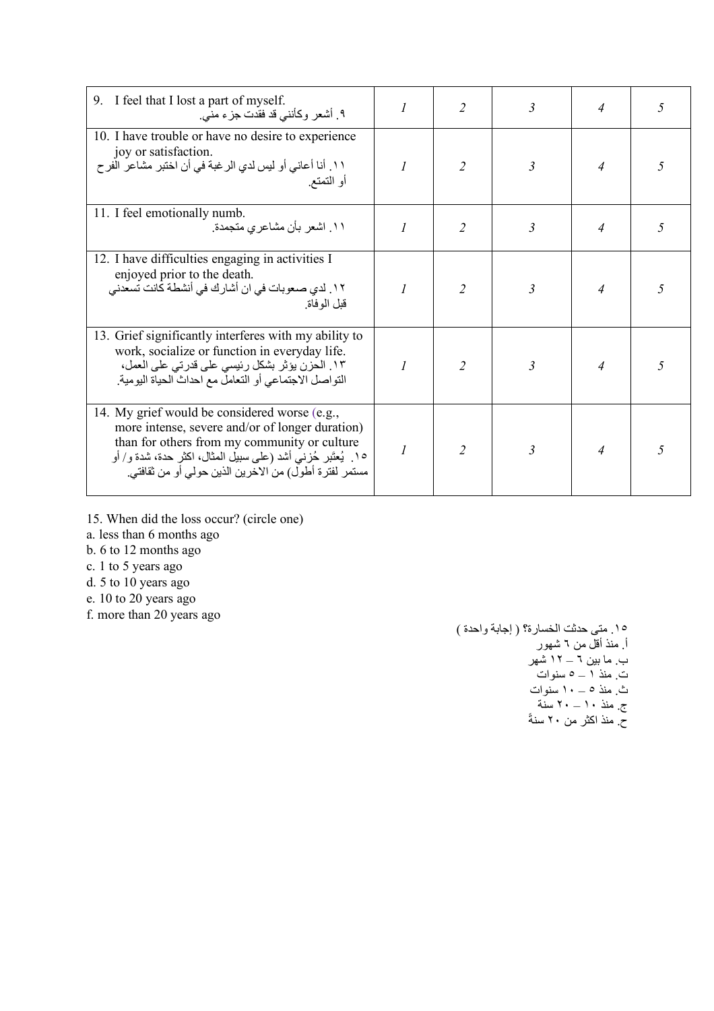| 9. I feel that I lost a part of myself.<br>۹ ِ أَشْعَرِ وكَأَنني قد فقدت جزءٍ مني ِ                                                                                                                                                                                        |               | $\overline{2}$ | 3                       | 4              | 5 |
|----------------------------------------------------------------------------------------------------------------------------------------------------------------------------------------------------------------------------------------------------------------------------|---------------|----------------|-------------------------|----------------|---|
| 10. I have trouble or have no desire to experience<br>joy or satisfaction.<br>١١. أنا أعاني أو ليس لدي الرغبة في أن اختبر مشاعر الفرح<br>أو النمنع ِ                                                                                                                       |               | $\overline{2}$ | 3                       | $\overline{4}$ | 5 |
| 11. I feel emotionally numb.<br>۱۱ اشعر بأن مشاعري متجمدة <sub>.</sub>                                                                                                                                                                                                     | $\mathcal I$  | $\overline{2}$ | 3                       | $\overline{4}$ | 5 |
| 12. I have difficulties engaging in activities I<br>enjoyed prior to the death.<br>١٢. لدي صعوبات في ان أشارك في أنشطة كانت تسعدني<br>قلل الو فاة                                                                                                                          | $\mathcal{I}$ | $\overline{2}$ | 3                       | $\overline{4}$ | 5 |
| 13. Grief significantly interferes with my ability to<br>work, socialize or function in everyday life.<br>١٣. الحزن يؤثر بشكل رئيسي على قدرتي على العمل،<br>التواصل الاجتماعي أو التعامل مع احداث الحياة اليومية.                                                          | $\mathcal{I}$ | $\mathfrak{D}$ | $\overline{\mathbf{3}}$ | $\overline{4}$ | 5 |
| 14. My grief would be considered worse (e.g.,<br>more intense, severe and/or of longer duration)<br>than for others from my community or culture<br>١٥. يُعتَبر حُزنـي أشد (علـي سبيل المثال، اكثر حدة، شدة و/ أو<br>مستمر لفترة أطول) من الاخرين الذين حولي أو من ثقافتي. |               | $\overline{2}$ | $\overline{\mathbf{3}}$ | $\overline{4}$ |   |

- 15. When did the loss occur? (circle one)
- a. less than 6 months ago
- b. 6 to 12 months ago
- c. 1 to 5 years ago
- d. 5 to 10 years ago
- e. 10 to 20 years ago
- f. more than 20 years ago

١٥. متى حدثت الخسارة؟ ( إجابة واحدة ) أ<sub>.</sub> منذ أقلّ من ٦ شهور ب ما بین ٦ – ١٢ شهر ت. منذ ١ – ٥ سنوات ث. ذنم ٥ – ١٠ تاونس ج<sub>.</sub> منذ ١٠ – ٢٠ سنة حٌ. منذ اكثر من ٢٠ سنةً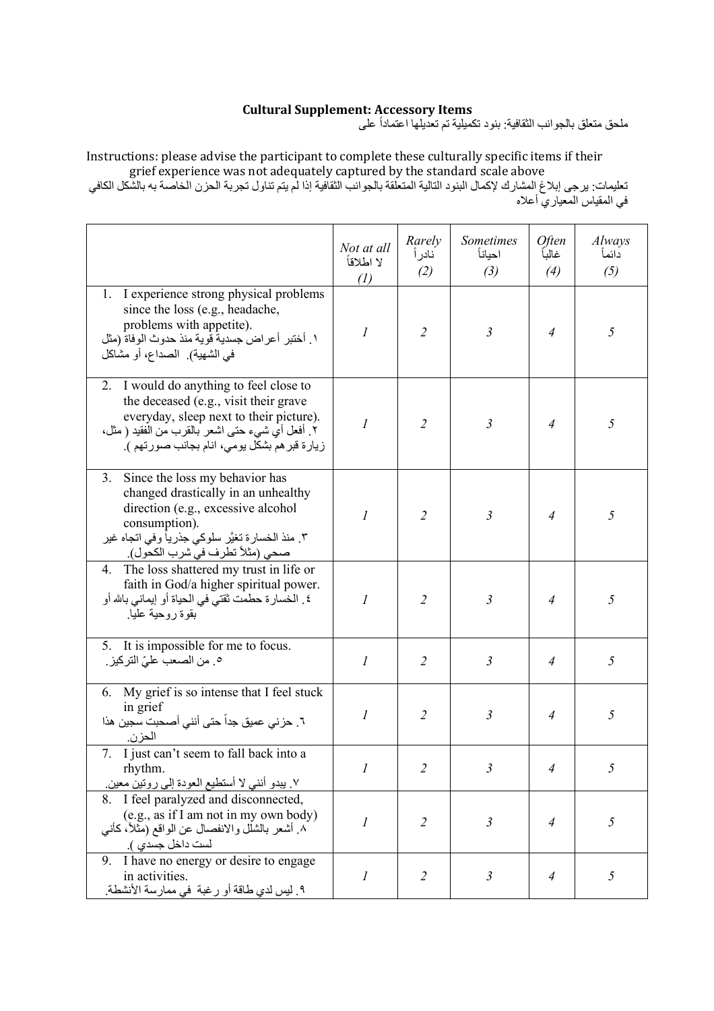## **Cultural Supplement: Accessory Items**

ملحق متعلق بالجوانب الثقافية: بنود تكميلية تم تعديلها اعتماداً على

Instructions: please advise the participant to complete these culturally specific items if their grief experience was not adequately captured by the standard scale above

تعليمات: يرجى إبلاغ المشارك لإكمال البنود التالية المتعلقة بالجوانب الثقافية إذا لم يتم تناول تجربة الحزن الخاصة به بالشكل الكافي في المقياس المعياري أعلاه

|                                                                                                                                                                                                                                 | Not at all<br>لا اطلاقاً<br>$\left( l\right)$ | Rarely<br>نادر أ<br>(2) | <b>Sometimes</b><br>احياناً<br>(3) | <i><b>Often</b></i><br>غالبأ<br>(4) | Always<br>دائمأ<br>(5) |
|---------------------------------------------------------------------------------------------------------------------------------------------------------------------------------------------------------------------------------|-----------------------------------------------|-------------------------|------------------------------------|-------------------------------------|------------------------|
| 1. I experience strong physical problems<br>since the loss (e.g., headache,<br>problems with appetite).<br>١ فختبر أعراض جسدية قوية منذ حدوث الوفاة (مثل<br>في الشهية). الصداع، أو مشاكل                                        | $\boldsymbol{l}$                              | $\overline{2}$          | $\mathfrak{Z}$                     | $\overline{A}$                      | 5                      |
| I would do anything to feel close to<br>2.<br>the deceased (e.g., visit their grave<br>everyday, sleep next to their picture).<br>٢ فعل أي شيء حتى اشعر بالقرب من الفقيد ( مثل،<br>زيارة قبر هم بشكل يومي، انام بجانب صورتهم ). | $\mathcal{I}$                                 | $\overline{2}$          | $\mathfrak{Z}$                     | $\overline{4}$                      | 5                      |
| 3.<br>Since the loss my behavior has<br>changed drastically in an unhealthy<br>direction (e.g., excessive alcohol<br>consumption).<br>٣. منذ الخسار ة تغيَّر سلوكي جذر يأ وفي اتجاه غير<br>صحى (مثلاً تطرف في شرب الكحول).      | $\mathcal{I}$                                 | $\overline{2}$          | $\mathfrak{Z}$                     | $\overline{4}$                      | 5                      |
| The loss shattered my trust in life or<br>4.<br>faith in God/a higher spiritual power.<br>٤ . الخسارة حطمت ثقتي في الحياة أو إيماني بالله أو<br>بقوة روحية عليا                                                                 | $\mathcal{I}$                                 | $\overline{2}$          | $\mathfrak{Z}$                     | $\overline{4}$                      | 5                      |
| It is impossible for me to focus.<br>5.<br>0 <sub>.</sub> من الصعب عليّ التركيز .                                                                                                                                               | $\mathcal{I}$                                 | $\overline{2}$          | $\mathfrak{Z}$                     | $\overline{4}$                      | 5                      |
| My grief is so intense that I feel stuck<br>6.<br>in grief<br>٦ ـ حزني عميق جداً حتى أنني أصـحبت سجين هذا<br>الحزن.                                                                                                             | 1                                             | $\overline{2}$          | $\mathfrak{Z}$                     | $\overline{4}$                      | 5                      |
| 7. I just can't seem to fall back into a<br>rhythm.<br>٧. يبدو أنني لا أستطيع العودة إلى روتين معين.                                                                                                                            |                                               | $\overline{2}$          | 3                                  | $\overline{4}$                      | 5                      |
| 8. I feel paralyzed and disconnected,<br>(e.g., as if I am not in my own body)<br>٨. أشعر بالشلل والانفصال عن الواقع (مَثلاً، كأنـي<br>لست داخل جسدي ).                                                                         | $\mathcal{I}$                                 | $\overline{2}$          | $\mathfrak{Z}$                     | $\overline{4}$                      | 5                      |
| I have no energy or desire to engage<br>9.<br>in activities.<br>٩ ـ ليس لدي طاقة أو رغبة  في ممارسة الأنشطة ـ                                                                                                                   | $\boldsymbol{l}$                              | $\overline{2}$          | $\mathfrak{Z}$                     | $\overline{4}$                      | 5                      |